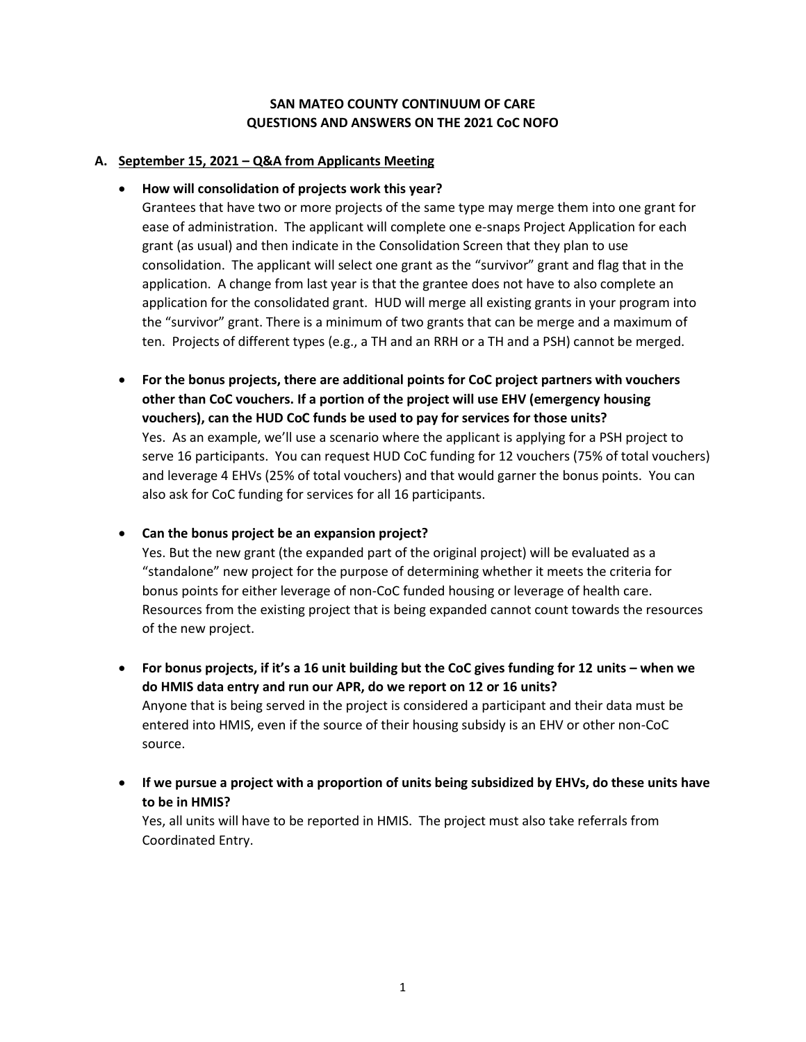## **SAN MATEO COUNTY CONTINUUM OF CARE QUESTIONS AND ANSWERS ON THE 2021 CoC NOFO**

## **A. September 15, 2021 – Q&A from Applicants Meeting**

## • **How will consolidation of projects work this year?**

Grantees that have two or more projects of the same type may merge them into one grant for ease of administration. The applicant will complete one e-snaps Project Application for each grant (as usual) and then indicate in the Consolidation Screen that they plan to use consolidation. The applicant will select one grant as the "survivor" grant and flag that in the application. A change from last year is that the grantee does not have to also complete an application for the consolidated grant. HUD will merge all existing grants in your program into the "survivor" grant. There is a minimum of two grants that can be merge and a maximum of ten. Projects of different types (e.g., a TH and an RRH or a TH and a PSH) cannot be merged.

- **For the bonus projects, there are additional points for CoC project partners with vouchers other than CoC vouchers. If a portion of the project will use EHV (emergency housing vouchers), can the HUD CoC funds be used to pay for services for those units?** Yes. As an example, we'll use a scenario where the applicant is applying for a PSH project to serve 16 participants. You can request HUD CoC funding for 12 vouchers (75% of total vouchers) and leverage 4 EHVs (25% of total vouchers) and that would garner the bonus points. You can also ask for CoC funding for services for all 16 participants.
- **Can the bonus project be an expansion project?**

Yes. But the new grant (the expanded part of the original project) will be evaluated as a "standalone" new project for the purpose of determining whether it meets the criteria for bonus points for either leverage of non-CoC funded housing or leverage of health care. Resources from the existing project that is being expanded cannot count towards the resources of the new project.

- **For bonus projects, if it's a 16 unit building but the CoC gives funding for 12 units – when we do HMIS data entry and run our APR, do we report on 12 or 16 units?** Anyone that is being served in the project is considered a participant and their data must be entered into HMIS, even if the source of their housing subsidy is an EHV or other non-CoC source.
- **If we pursue a project with a proportion of units being subsidized by EHVs, do these units have to be in HMIS?**

Yes, all units will have to be reported in HMIS. The project must also take referrals from Coordinated Entry.